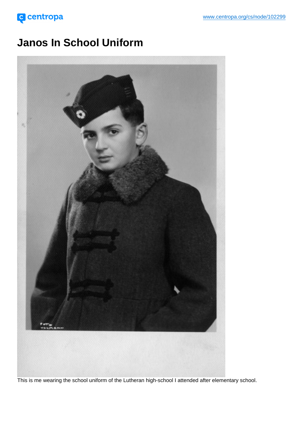Janos In School Uniform

This is me wearing the school uniform of the Lutheran high-school I attended after elementary school.